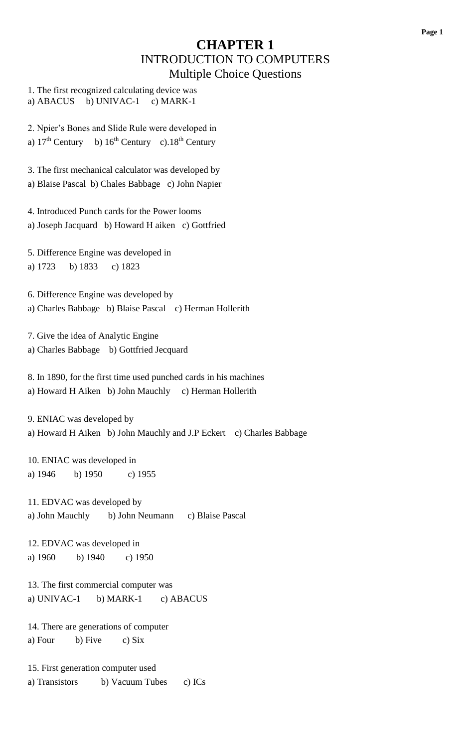#### **CHAPTER 1** INTRODUCTION TO COMPUTERS Multiple Choice Questions

1. The first recognized calculating device was a) ABACUS b) UNIVAC-1 c) MARK-1

2. Npier's Bones and Slide Rule were developed in a)  $17<sup>th</sup>$  Century b)  $16<sup>th</sup>$  Century c).  $18<sup>th</sup>$  Century

3. The first mechanical calculator was developed by a) Blaise Pascal b) Chales Babbage c) John Napier

4. Introduced Punch cards for the Power looms a) Joseph Jacquard b) Howard H aiken c) Gottfried

5. Difference Engine was developed in a) 1723 b) 1833 c) 1823

6. Difference Engine was developed by a) Charles Babbage b) Blaise Pascal c) Herman Hollerith

7. Give the idea of Analytic Engine a) Charles Babbage b) Gottfried Jecquard

8. In 1890, for the first time used punched cards in his machines a) Howard H Aiken b) John Mauchly c) Herman Hollerith

9. ENIAC was developed by a) Howard H Aiken b) John Mauchly and J.P Eckert c) Charles Babbage

10. ENIAC was developed in a) 1946 b) 1950 c) 1955

11. EDVAC was developed by a) John Mauchly b) John Neumann c) Blaise Pascal

12. EDVAC was developed in a) 1960 b) 1940 c) 1950

13. The first commercial computer was a) UNIVAC-1 b) MARK-1 c) ABACUS

14. There are generations of computer a) Four b) Five c)  $Six$ 

15. First generation computer used a) Transistors b) Vacuum Tubes c) ICs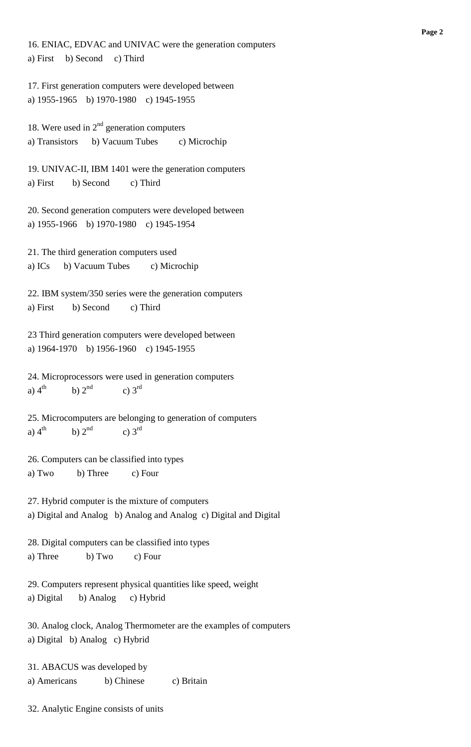16. ENIAC, EDVAC and UNIVAC were the generation computers a) First b) Second c) Third

17. First generation computers were developed between a) 1955-1965 b) 1970-1980 c) 1945-1955

18. Were used in  $2<sup>nd</sup>$  generation computers a) Transistors b) Vacuum Tubes c) Microchip

19. UNIVAC-II, IBM 1401 were the generation computers a) First b) Second c) Third

20. Second generation computers were developed between a) 1955-1966 b) 1970-1980 c) 1945-1954

21. The third generation computers used a) ICs b) Vacuum Tubes c) Microchip

22. IBM system/350 series were the generation computers a) First b) Second c) Third

23 Third generation computers were developed between a) 1964-1970 b) 1956-1960 c) 1945-1955

24. Microprocessors were used in generation computers a)  $4<sup>th</sup>$ b)  $2<sup>nd</sup>$ c)  $3<sup>rd</sup>$ 

25. Microcomputers are belonging to generation of computers a)  $4<sup>th</sup>$ b)  $2<sup>nd</sup>$ c)  $3<sup>rd</sup>$ 

26. Computers can be classified into types a) Two b) Three c) Four

27. Hybrid computer is the mixture of computers a) Digital and Analog b) Analog and Analog c) Digital and Digital

28. Digital computers can be classified into types a) Three b) Two c) Four

29. Computers represent physical quantities like speed, weight a) Digital b) Analog c) Hybrid

30. Analog clock, Analog Thermometer are the examples of computers a) Digital b) Analog c) Hybrid

31. ABACUS was developed by a) Americans b) Chinese c) Britain

32. Analytic Engine consists of units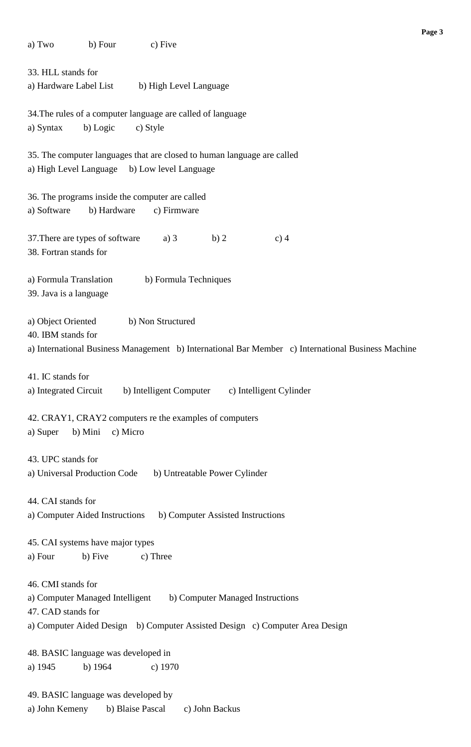| a) Two<br>b) Four<br>c) Five                                                                                                                                                                 |  |  |  |  |  |
|----------------------------------------------------------------------------------------------------------------------------------------------------------------------------------------------|--|--|--|--|--|
| 33. HLL stands for                                                                                                                                                                           |  |  |  |  |  |
| a) Hardware Label List<br>b) High Level Language                                                                                                                                             |  |  |  |  |  |
| 34. The rules of a computer language are called of language<br>b) Logic<br>a) Syntax<br>c) Style                                                                                             |  |  |  |  |  |
| 35. The computer languages that are closed to human language are called<br>a) High Level Language b) Low level Language                                                                      |  |  |  |  |  |
| 36. The programs inside the computer are called<br>a) Software<br>b) Hardware<br>c) Firmware                                                                                                 |  |  |  |  |  |
| 37. There are types of software<br>a) $3$<br>b)2<br>$c)$ 4<br>38. Fortran stands for                                                                                                         |  |  |  |  |  |
| a) Formula Translation<br>b) Formula Techniques<br>39. Java is a language                                                                                                                    |  |  |  |  |  |
| a) Object Oriented<br>b) Non Structured<br>40. IBM stands for<br>a) International Business Management b) International Bar Member c) International Business Machine                          |  |  |  |  |  |
| 41. IC stands for<br>b) Intelligent Computer c) Intelligent Cylinder<br>a) Integrated Circuit                                                                                                |  |  |  |  |  |
| 42. CRAY1, CRAY2 computers re the examples of computers<br>b) Mini<br>c) Micro<br>a) Super                                                                                                   |  |  |  |  |  |
| 43. UPC stands for<br>a) Universal Production Code<br>b) Untreatable Power Cylinder                                                                                                          |  |  |  |  |  |
| 44. CAI stands for<br>b) Computer Assisted Instructions<br>a) Computer Aided Instructions                                                                                                    |  |  |  |  |  |
| 45. CAI systems have major types<br>a) Four<br>b) Five<br>c) Three                                                                                                                           |  |  |  |  |  |
| 46. CMI stands for<br>a) Computer Managed Intelligent b) Computer Managed Instructions<br>47. CAD stands for<br>a) Computer Aided Design b) Computer Assisted Design c) Computer Area Design |  |  |  |  |  |
| 48. BASIC language was developed in<br>a) 1945<br>b) $1964$<br>c) $1970$                                                                                                                     |  |  |  |  |  |
| 49. BASIC language was developed by<br>a) John Kemeny<br>b) Blaise Pascal<br>c) John Backus                                                                                                  |  |  |  |  |  |

**Page 3**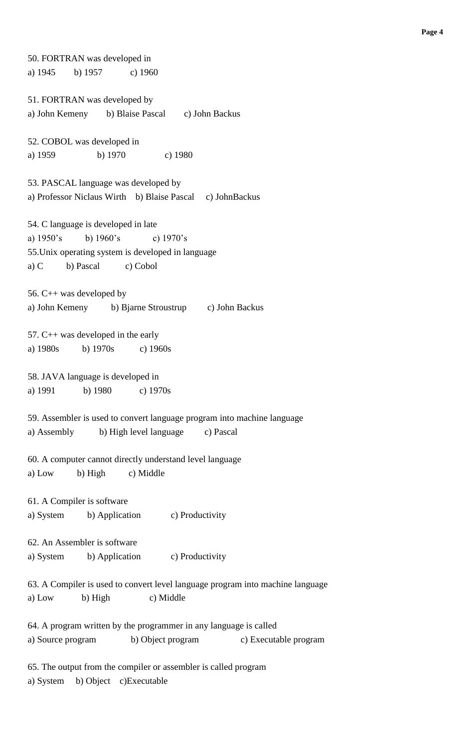50. FORTRAN was developed in a) 1945 b) 1957 c) 1960 51. FORTRAN was developed by a) John Kemeny b) Blaise Pascal c) John Backus 52. COBOL was developed in a) 1959 b) 1970 c) 1980 53. PASCAL language was developed by a) Professor Niclaus Wirth b) Blaise Pascal c) JohnBackus 54. C language is developed in late a) 1950's b) 1960's c) 1970's 55.Unix operating system is developed in language a) C b) Pascal c) Cobol 56. C++ was developed by a) John Kemeny b) Bjarne Stroustrup c) John Backus 57. C++ was developed in the early a) 1980s b) 1970s c) 1960s 58. JAVA language is developed in a) 1991 b) 1980 c) 1970s 59. Assembler is used to convert language program into machine language a) Assembly b) High level language c) Pascal 60. A computer cannot directly understand level language a) Low b) High c) Middle 61. A Compiler is software a) System b) Application c) Productivity 62. An Assembler is software a) System b) Application c) Productivity 63. A Compiler is used to convert level language program into machine language a) Low b) High c) Middle 64. A program written by the programmer in any language is called a) Source program b) Object program c) Executable program 65. The output from the compiler or assembler is called program a) System b) Object c)Executable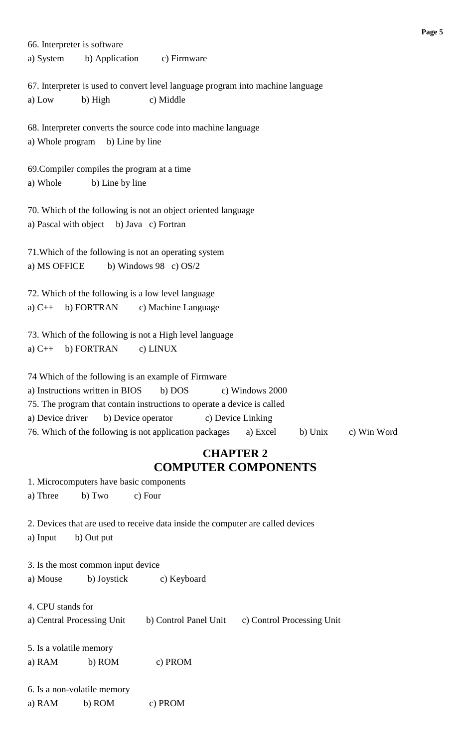66. Interpreter is software a) System b) Application c) Firmware 67. Interpreter is used to convert level language program into machine language a) Low b) High c) Middle 68. Interpreter converts the source code into machine language a) Whole program b) Line by line 69.Compiler compiles the program at a time a) Whole b) Line by line 70. Which of the following is not an object oriented language a) Pascal with object b) Java c) Fortran 71.Which of the following is not an operating system a) MS OFFICE b) Windows 98 c)  $OS/2$ 72. Which of the following is a low level language a) C++ b) FORTRAN c) Machine Language 73. Which of the following is not a High level language a)  $C++$  b) FORTRAN c) LINUX 74 Which of the following is an example of Firmware a) Instructions written in BIOS b) DOS c) Windows 2000 75. The program that contain instructions to operate a device is called a) Device driver b) Device operator c) Device Linking 76. Which of the following is not application packages a) Excel b) Unix c) Win Word **CHAPTER 2 COMPUTER COMPONENTS**

1. Microcomputers have basic components

a) Three b) Two c) Four

2. Devices that are used to receive data inside the computer are called devices

a) Input b) Out put

3. Is the most common input device a) Mouse b) Joystick c) Keyboard

4. CPU stands for

a) Central Processing Unit b) Control Panel Unit c) Control Processing Unit

5. Is a volatile memory a) RAM b) ROM c) PROM

6. Is a non-volatile memory a) RAM b) ROM c) PROM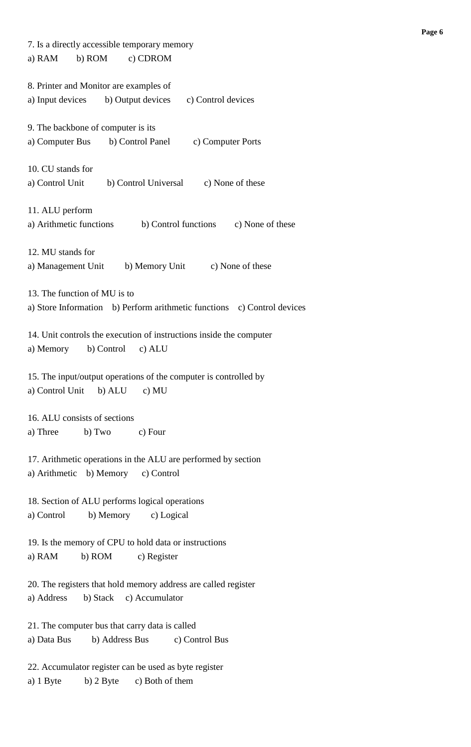| 7. Is a directly accessible temporary memory                            |  |  |  |  |  |
|-------------------------------------------------------------------------|--|--|--|--|--|
| b) ROM<br>a) RAM<br>c) CDROM                                            |  |  |  |  |  |
| 8. Printer and Monitor are examples of                                  |  |  |  |  |  |
| a) Input devices<br>b) Output devices<br>c) Control devices             |  |  |  |  |  |
|                                                                         |  |  |  |  |  |
| 9. The backbone of computer is its                                      |  |  |  |  |  |
| a) Computer Bus<br>b) Control Panel<br>c) Computer Ports                |  |  |  |  |  |
|                                                                         |  |  |  |  |  |
| 10. CU stands for                                                       |  |  |  |  |  |
| b) Control Universal<br>a) Control Unit<br>c) None of these             |  |  |  |  |  |
|                                                                         |  |  |  |  |  |
| 11. ALU perform                                                         |  |  |  |  |  |
| a) Arithmetic functions<br>b) Control functions<br>c) None of these     |  |  |  |  |  |
|                                                                         |  |  |  |  |  |
|                                                                         |  |  |  |  |  |
| 12. MU stands for                                                       |  |  |  |  |  |
| b) Memory Unit<br>c) None of these<br>a) Management Unit                |  |  |  |  |  |
|                                                                         |  |  |  |  |  |
| 13. The function of MU is to                                            |  |  |  |  |  |
| a) Store Information b) Perform arithmetic functions c) Control devices |  |  |  |  |  |
|                                                                         |  |  |  |  |  |
| 14. Unit controls the execution of instructions inside the computer     |  |  |  |  |  |
| b) Control<br>c) ALU<br>a) Memory                                       |  |  |  |  |  |
|                                                                         |  |  |  |  |  |
| 15. The input/output operations of the computer is controlled by        |  |  |  |  |  |
| a) Control Unit b) ALU<br>c) MU                                         |  |  |  |  |  |
|                                                                         |  |  |  |  |  |
| 16. ALU consists of sections                                            |  |  |  |  |  |
| a) Three b) Two c) Four                                                 |  |  |  |  |  |
|                                                                         |  |  |  |  |  |
| 17. Arithmetic operations in the ALU are performed by section           |  |  |  |  |  |
| a) Arithmetic b) Memory c) Control                                      |  |  |  |  |  |
|                                                                         |  |  |  |  |  |
|                                                                         |  |  |  |  |  |
| 18. Section of ALU performs logical operations                          |  |  |  |  |  |
| b) Memory c) Logical<br>a) Control                                      |  |  |  |  |  |
|                                                                         |  |  |  |  |  |
| 19. Is the memory of CPU to hold data or instructions                   |  |  |  |  |  |
| b) ROM<br>a) RAM<br>c) Register                                         |  |  |  |  |  |
|                                                                         |  |  |  |  |  |
| 20. The registers that hold memory address are called register          |  |  |  |  |  |
| b) Stack c) Accumulator<br>a) Address                                   |  |  |  |  |  |
|                                                                         |  |  |  |  |  |
| 21. The computer bus that carry data is called                          |  |  |  |  |  |
| b) Address Bus<br>a) Data Bus<br>c) Control Bus                         |  |  |  |  |  |
|                                                                         |  |  |  |  |  |
| 22. Accumulator register can be used as byte register                   |  |  |  |  |  |
| $b)$ 2 Byte<br>c) Both of them<br>a) 1 Byte                             |  |  |  |  |  |
|                                                                         |  |  |  |  |  |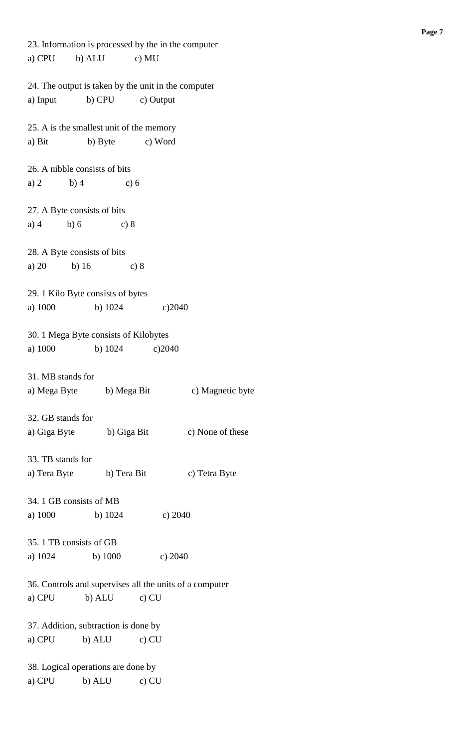| a) CPU b) ALU c) MU                                     |  |
|---------------------------------------------------------|--|
|                                                         |  |
| 24. The output is taken by the unit in the computer     |  |
| b) CPU<br>a) Input<br>c) Output                         |  |
|                                                         |  |
| 25. A is the smallest unit of the memory                |  |
| b) Byte c) Word<br>a) Bit                               |  |
| 26. A nibble consists of bits                           |  |
| a) $2$<br>b)4<br>c) 6                                   |  |
|                                                         |  |
| 27. A Byte consists of bits                             |  |
| a) $4$<br>b)6<br>c) 8                                   |  |
|                                                         |  |
| 28. A Byte consists of bits                             |  |
| a) 20<br>b) $16$<br>c) 8                                |  |
|                                                         |  |
| 29. 1 Kilo Byte consists of bytes                       |  |
|                                                         |  |
| a) 1000<br>b) $1024$<br>c)2040                          |  |
| 30. 1 Mega Byte consists of Kilobytes                   |  |
| a) 1000<br>b) $1024$<br>c)2040                          |  |
|                                                         |  |
| 31. MB stands for                                       |  |
| c) Magnetic byte<br>a) Mega Byte<br>b) Mega Bit         |  |
|                                                         |  |
| 32. GB stands for                                       |  |
| b) Giga Bit<br>a) Giga Byte<br>c) None of these         |  |
|                                                         |  |
| 33. TB stands for                                       |  |
| b) Tera Bit<br>c) Tetra Byte<br>a) Tera Byte            |  |
|                                                         |  |
| 34. 1 GB consists of MB                                 |  |
| a) 1000<br>b) $1024$<br>c) $2040$                       |  |
|                                                         |  |
| 35. 1 TB consists of GB                                 |  |
| a) $1024$ b) $1000$<br>c) $2040$                        |  |
|                                                         |  |
| 36. Controls and supervises all the units of a computer |  |
| $c)$ CU                                                 |  |
| a) CPU<br>b) ALU                                        |  |
|                                                         |  |
| 37. Addition, subtraction is done by                    |  |
| a) CPU<br>b) ALU<br>$c)$ CU                             |  |
|                                                         |  |
| 38. Logical operations are done by                      |  |
| b) ALU<br>a) CPU<br>$c)$ CU                             |  |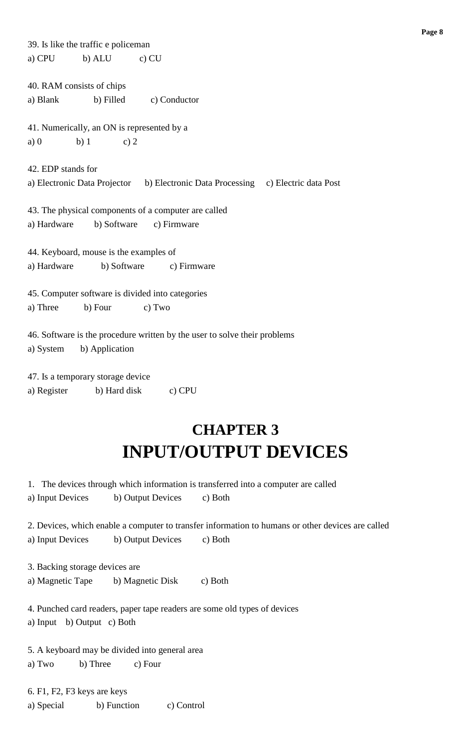| 39. Is like the traffic e policeman                                                                                                     |
|-----------------------------------------------------------------------------------------------------------------------------------------|
| b) ALU<br>$c)$ CU<br>a) CPU                                                                                                             |
| 40. RAM consists of chips<br>a) Blank<br>b) Filled<br>c) Conductor                                                                      |
| 41. Numerically, an ON is represented by a                                                                                              |
| $b)$ 1<br>c) $2$<br>a)0                                                                                                                 |
| 42. EDP stands for<br>a) Electronic Data Projector b) Electronic Data Processing c) Electric data Post                                  |
| 43. The physical components of a computer are called                                                                                    |
| b) Software<br>a) Hardware<br>c) Firmware                                                                                               |
| 44. Keyboard, mouse is the examples of<br>a) Hardware<br>b) Software<br>c) Firmware<br>45. Computer software is divided into categories |
| a) Three<br>b) Four<br>c) Two                                                                                                           |
| 46. Software is the procedure written by the user to solve their problems<br>b) Application<br>a) System                                |
| 47. Is a temporary storage device                                                                                                       |
| a) Register<br>b) Hard disk<br>c) CPU                                                                                                   |
| <b>CHAPTER 3</b><br><b>INPUT/OUTPUT DEVICES</b>                                                                                         |

1. The devices through which information is transferred into a computer are called a) Input Devices b) Output Devices c) Both

2. Devices, which enable a computer to transfer information to humans or other devices are called a) Input Devices b) Output Devices c) Both

3. Backing storage devices are

a) Magnetic Tape b) Magnetic Disk c) Both

4. Punched card readers, paper tape readers are some old types of devices a) Input b) Output c) Both

5. A keyboard may be divided into general area a) Two b) Three c) Four

6. F1, F2, F3 keys are keys a) Special b) Function c) Control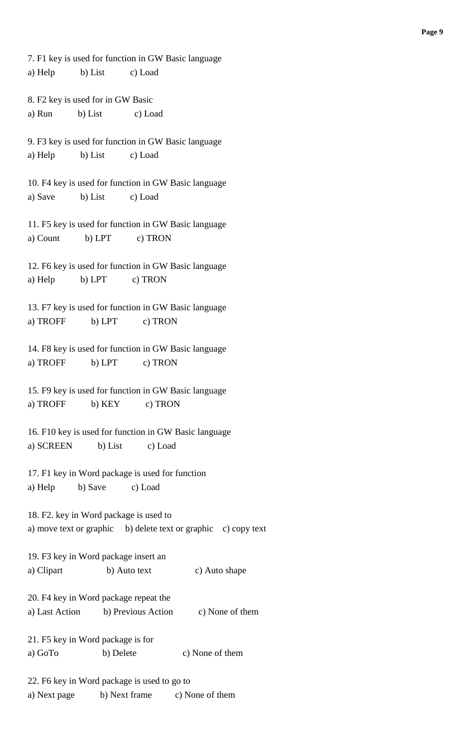7. F1 key is used for function in GW Basic language a) Help b) List c) Load 8. F2 key is used for in GW Basic a) Run b) List c) Load 9. F3 key is used for function in GW Basic language a) Help b) List c) Load 10. F4 key is used for function in GW Basic language a) Save b) List c) Load 11. F5 key is used for function in GW Basic language a) Count b) LPT c) TRON 12. F6 key is used for function in GW Basic language a) Help b) LPT c) TRON 13. F7 key is used for function in GW Basic language a) TROFF b) LPT c) TRON 14. F8 key is used for function in GW Basic language a) TROFF b) LPT c) TRON 15. F9 key is used for function in GW Basic language a) TROFF b) KEY c) TRON 16. F10 key is used for function in GW Basic language a) SCREEN b) List c) Load 17. F1 key in Word package is used for function a) Help b) Save c) Load 18. F2. key in Word package is used to a) move text or graphic b) delete text or graphic c) copy text 19. F3 key in Word package insert an a) Clipart b) Auto text c) Auto shape 20. F4 key in Word package repeat the a) Last Action b) Previous Action c) None of them 21. F5 key in Word package is for a) GoTo b) Delete c) None of them 22. F6 key in Word package is used to go to a) Next page b) Next frame c) None of them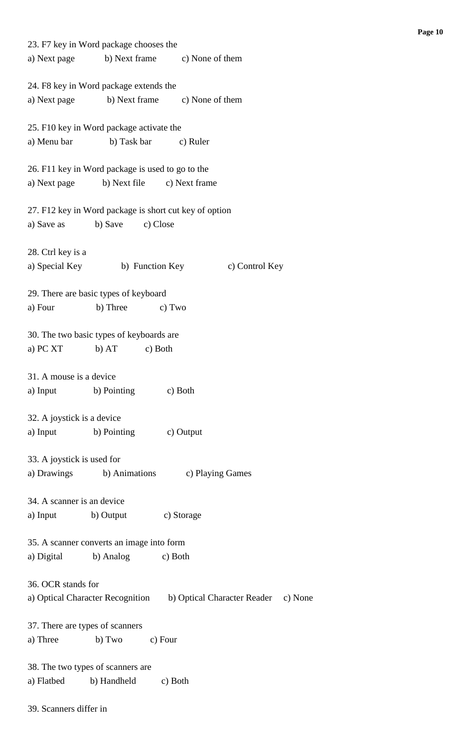| 23. F7 key in Word package chooses the                 |                            |                                                                      |  |
|--------------------------------------------------------|----------------------------|----------------------------------------------------------------------|--|
| a) Next page b) Next frame c) None of them             |                            |                                                                      |  |
| 24. F8 key in Word package extends the                 |                            |                                                                      |  |
| a) Next page b) Next frame c) None of them             |                            |                                                                      |  |
|                                                        |                            |                                                                      |  |
| 25. F10 key in Word package activate the               |                            |                                                                      |  |
| a) Menu bar                                            | b) Task bar                | c) Ruler                                                             |  |
|                                                        |                            |                                                                      |  |
| 26. F11 key in Word package is used to go to the       |                            |                                                                      |  |
| a) Next page                                           | b) Next file c) Next frame |                                                                      |  |
|                                                        |                            |                                                                      |  |
| 27. F12 key in Word package is short cut key of option |                            |                                                                      |  |
| a) Save as                                             | b) Save<br>c) Close        |                                                                      |  |
| 28. Ctrl key is a                                      |                            |                                                                      |  |
| a) Special Key b) Function Key                         |                            | c) Control Key                                                       |  |
|                                                        |                            |                                                                      |  |
| 29. There are basic types of keyboard                  |                            |                                                                      |  |
| a) Four                                                | b) Three<br>c) Two         |                                                                      |  |
|                                                        |                            |                                                                      |  |
| 30. The two basic types of keyboards are               |                            |                                                                      |  |
| a) PC XT                                               | b) AT<br>c) Both           |                                                                      |  |
|                                                        |                            |                                                                      |  |
| 31. A mouse is a device                                |                            |                                                                      |  |
| a) Input                                               | b) Pointing                | c) Both                                                              |  |
|                                                        |                            |                                                                      |  |
| 32. A joystick is a device                             |                            |                                                                      |  |
| a) Input b) Pointing c) Output                         |                            |                                                                      |  |
|                                                        |                            |                                                                      |  |
| 33. A joystick is used for                             |                            |                                                                      |  |
|                                                        |                            | a) Drawings b) Animations c) Playing Games                           |  |
|                                                        |                            |                                                                      |  |
| 34. A scanner is an device                             |                            |                                                                      |  |
| a) Input b) Output                                     |                            | c) Storage                                                           |  |
|                                                        |                            |                                                                      |  |
| 35. A scanner converts an image into form              |                            |                                                                      |  |
| a) Digital                                             | b) Analog c) Both          |                                                                      |  |
| 36. OCR stands for                                     |                            |                                                                      |  |
|                                                        |                            | a) Optical Character Recognition b) Optical Character Reader c) None |  |
|                                                        |                            |                                                                      |  |
| 37. There are types of scanners                        |                            |                                                                      |  |
| a) Three                                               | b) Two c) Four             |                                                                      |  |
|                                                        |                            |                                                                      |  |
| 38. The two types of scanners are                      |                            |                                                                      |  |
| a) Flatbed b) Handheld c) Both                         |                            |                                                                      |  |
|                                                        |                            |                                                                      |  |

39. Scanners differ in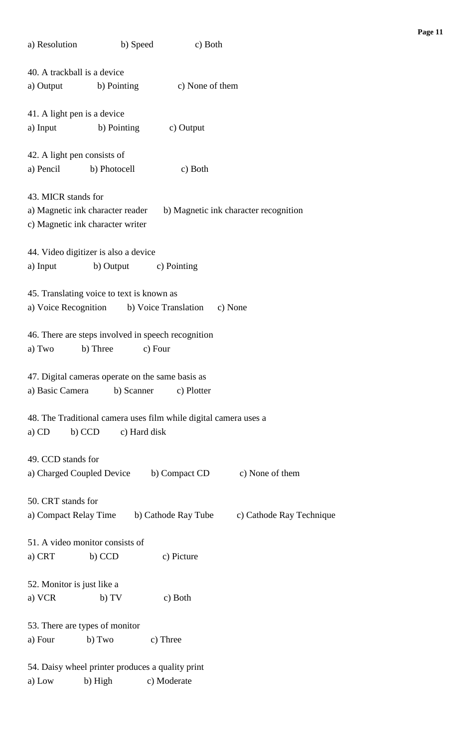| a) Resolution                  | b) Speed                                  | c) Both                                                          |                                       |  |  |
|--------------------------------|-------------------------------------------|------------------------------------------------------------------|---------------------------------------|--|--|
| 40. A trackball is a device    |                                           |                                                                  |                                       |  |  |
|                                | a) Output b) Pointing                     | c) None of them                                                  |                                       |  |  |
|                                |                                           |                                                                  |                                       |  |  |
| 41. A light pen is a device    |                                           |                                                                  |                                       |  |  |
| a) Input                       | b) Pointing                               | c) Output                                                        |                                       |  |  |
| 42. A light pen consists of    |                                           |                                                                  |                                       |  |  |
|                                | a) Pencil b) Photocell                    | c) Both                                                          |                                       |  |  |
|                                |                                           |                                                                  |                                       |  |  |
| 43. MICR stands for            |                                           |                                                                  |                                       |  |  |
|                                | a) Magnetic ink character reader          |                                                                  | b) Magnetic ink character recognition |  |  |
|                                | c) Magnetic ink character writer          |                                                                  |                                       |  |  |
|                                |                                           |                                                                  |                                       |  |  |
|                                | 44. Video digitizer is also a device      |                                                                  |                                       |  |  |
| a) Input                       |                                           | b) Output c) Pointing                                            |                                       |  |  |
|                                |                                           |                                                                  |                                       |  |  |
|                                | 45. Translating voice to text is known as |                                                                  |                                       |  |  |
|                                |                                           | a) Voice Recognition b) Voice Translation                        | c) None                               |  |  |
|                                |                                           | 46. There are steps involved in speech recognition               |                                       |  |  |
| a) Two                         | b) Three                                  | c) Four                                                          |                                       |  |  |
|                                |                                           |                                                                  |                                       |  |  |
|                                |                                           | 47. Digital cameras operate on the same basis as                 |                                       |  |  |
| a) Basic Camera                | b) Scanner                                | c) Plotter                                                       |                                       |  |  |
|                                |                                           |                                                                  |                                       |  |  |
|                                |                                           | 48. The Traditional camera uses film while digital camera uses a |                                       |  |  |
| $a)$ CD                        | b) CCD                                    | c) Hard disk                                                     |                                       |  |  |
|                                |                                           |                                                                  |                                       |  |  |
| 49. CCD stands for             |                                           |                                                                  |                                       |  |  |
| a) Charged Coupled Device      |                                           | b) Compact CD                                                    | c) None of them                       |  |  |
|                                |                                           |                                                                  |                                       |  |  |
| 50. CRT stands for             |                                           | b) Cathode Ray Tube                                              | c) Cathode Ray Technique              |  |  |
| a) Compact Relay Time          |                                           |                                                                  |                                       |  |  |
|                                | 51. A video monitor consists of           |                                                                  |                                       |  |  |
| a) CRT                         | b) CCD                                    | c) Picture                                                       |                                       |  |  |
|                                |                                           |                                                                  |                                       |  |  |
| 52. Monitor is just like a     |                                           |                                                                  |                                       |  |  |
| a) VCR                         | b) TV                                     | c) Both                                                          |                                       |  |  |
|                                |                                           |                                                                  |                                       |  |  |
| 53. There are types of monitor |                                           |                                                                  |                                       |  |  |
| a) Four                        | b) Two                                    | c) Three                                                         |                                       |  |  |
|                                |                                           |                                                                  |                                       |  |  |
|                                |                                           | 54. Daisy wheel printer produces a quality print                 |                                       |  |  |
| a) Low                         | b) High                                   | c) Moderate                                                      |                                       |  |  |

**Page 11**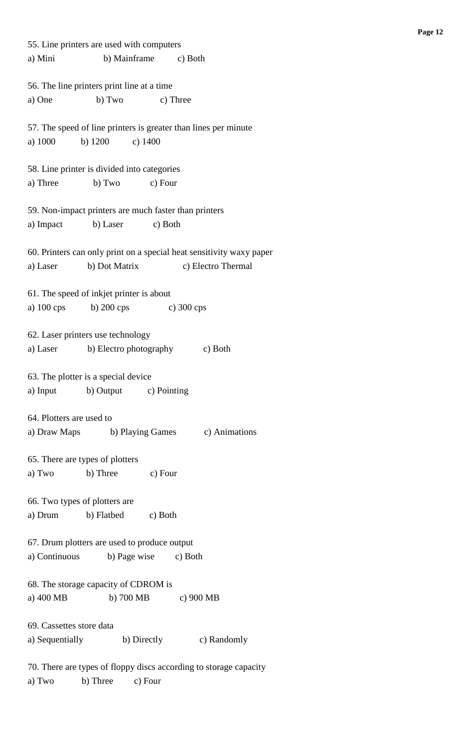| 55. Line printers are used with computers                            |  |  |  |  |  |
|----------------------------------------------------------------------|--|--|--|--|--|
| a) Mini<br>b) Mainframe c) Both                                      |  |  |  |  |  |
|                                                                      |  |  |  |  |  |
| 56. The line printers print line at a time                           |  |  |  |  |  |
| a) One<br>b) Two<br>c) Three                                         |  |  |  |  |  |
|                                                                      |  |  |  |  |  |
| 57. The speed of line printers is greater than lines per minute      |  |  |  |  |  |
| b) $1200$<br>a) 1000<br>$c)$ 1400                                    |  |  |  |  |  |
|                                                                      |  |  |  |  |  |
| 58. Line printer is divided into categories                          |  |  |  |  |  |
| a) Three<br>b) Two<br>c) Four                                        |  |  |  |  |  |
|                                                                      |  |  |  |  |  |
| 59. Non-impact printers are much faster than printers                |  |  |  |  |  |
| b) Laser<br>c) Both<br>a) Impact                                     |  |  |  |  |  |
|                                                                      |  |  |  |  |  |
| 60. Printers can only print on a special heat sensitivity waxy paper |  |  |  |  |  |
| b) Dot Matrix<br>c) Electro Thermal<br>a) Laser                      |  |  |  |  |  |
|                                                                      |  |  |  |  |  |
| 61. The speed of inkjet printer is about                             |  |  |  |  |  |
| a) $100 \text{ cps}$<br>b) $200 \text{cps}$ c) $300 \text{cps}$      |  |  |  |  |  |
|                                                                      |  |  |  |  |  |
| 62. Laser printers use technology                                    |  |  |  |  |  |
| b) Electro photography<br>a) Laser<br>c) Both                        |  |  |  |  |  |
|                                                                      |  |  |  |  |  |
| 63. The plotter is a special device                                  |  |  |  |  |  |
| b) Output c) Pointing<br>a) Input                                    |  |  |  |  |  |
|                                                                      |  |  |  |  |  |
| 64. Plotters are used to                                             |  |  |  |  |  |
| a) Draw Maps b) Playing Games c) Animations                          |  |  |  |  |  |
|                                                                      |  |  |  |  |  |
| 65. There are types of plotters                                      |  |  |  |  |  |
| a) Two<br>b) Three<br>c) Four                                        |  |  |  |  |  |
|                                                                      |  |  |  |  |  |
| 66. Two types of plotters are                                        |  |  |  |  |  |
| b) Flatbed c) Both<br>a) Drum                                        |  |  |  |  |  |
|                                                                      |  |  |  |  |  |
| 67. Drum plotters are used to produce output                         |  |  |  |  |  |
| a) Continuous<br>b) Page wise c) Both                                |  |  |  |  |  |
|                                                                      |  |  |  |  |  |
| 68. The storage capacity of CDROM is                                 |  |  |  |  |  |
| a) 400 MB<br>b) 700 MB c) 900 MB                                     |  |  |  |  |  |
|                                                                      |  |  |  |  |  |
| 69. Cassettes store data                                             |  |  |  |  |  |
| a) Sequentially b) Directly c) Randomly                              |  |  |  |  |  |
|                                                                      |  |  |  |  |  |
| 70. There are types of floppy discs according to storage capacity    |  |  |  |  |  |
| b) Three<br>a) Two<br>c) Four                                        |  |  |  |  |  |
|                                                                      |  |  |  |  |  |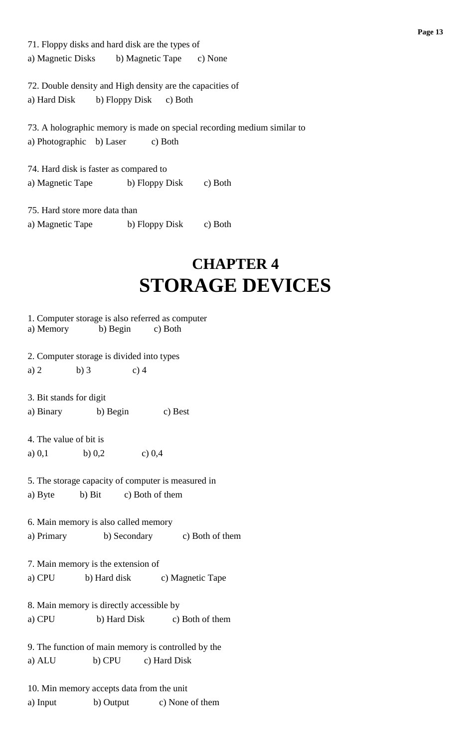71. Floppy disks and hard disk are the types of a) Magnetic Disks b) Magnetic Tape c) None

72. Double density and High density are the capacities of a) Hard Disk b) Floppy Disk c) Both

73. A holographic memory is made on special recording medium similar to a) Photographic b) Laser c) Both

74. Hard disk is faster as compared to a) Magnetic Tape b) Floppy Disk c) Both

75. Hard store more data than a) Magnetic Tape b) Floppy Disk c) Both

## **CHAPTER 4 STORAGE DEVICES**

|                                                                                         | 1. Computer storage is also referred as computer<br>a) Memory b) Begin c) Both |        |                                      |  |
|-----------------------------------------------------------------------------------------|--------------------------------------------------------------------------------|--------|--------------------------------------|--|
| 2. Computer storage is divided into types                                               |                                                                                |        |                                      |  |
| a) $2$                                                                                  | $b)$ 3                                                                         | $c)$ 4 |                                      |  |
| 3. Bit stands for digit                                                                 |                                                                                |        |                                      |  |
|                                                                                         | a) Binary b) Begin                                                             |        | c) Best                              |  |
| 4. The value of bit is<br>a) 0,1 b) 0,2                                                 |                                                                                | c) 0,4 |                                      |  |
| 5. The storage capacity of computer is measured in<br>b) Bit c) Both of them<br>a) Byte |                                                                                |        |                                      |  |
| 6. Main memory is also called memory<br>b) Secondary c) Both of them<br>a) Primary      |                                                                                |        |                                      |  |
|                                                                                         | 7. Main memory is the extension of                                             |        |                                      |  |
|                                                                                         |                                                                                |        | a) CPU b) Hard disk c) Magnetic Tape |  |
| 8. Main memory is directly accessible by<br>a) CPU<br>b) Hard Disk c) Both of them      |                                                                                |        |                                      |  |
| 9. The function of main memory is controlled by the                                     |                                                                                |        |                                      |  |
| a) ALU                                                                                  | b) CPU c) Hard Disk                                                            |        |                                      |  |
| a) Input                                                                                | 10. Min memory accepts data from the unit                                      |        | b) Output c) None of them            |  |
|                                                                                         |                                                                                |        |                                      |  |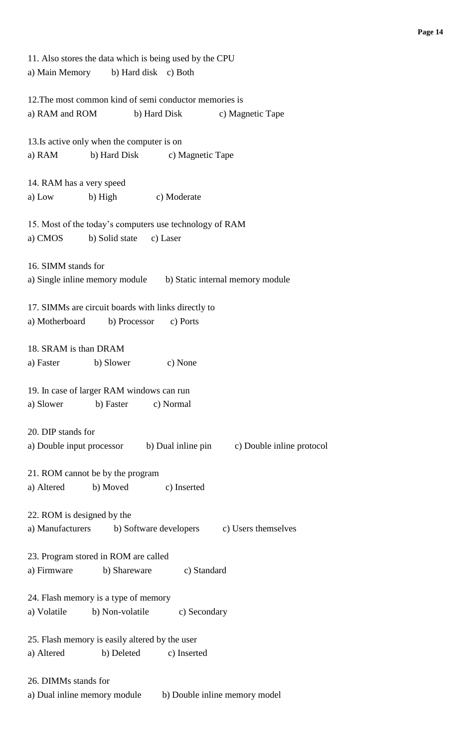11. Also stores the data which is being used by the CPU a) Main Memory b) Hard disk c) Both 12.The most common kind of semi conductor memories is a) RAM and ROM b) Hard Disk c) Magnetic Tape 13.Is active only when the computer is on a) RAM b) Hard Disk c) Magnetic Tape 14. RAM has a very speed a) Low b) High c) Moderate 15. Most of the today's computers use technology of RAM a) CMOS b) Solid state c) Laser 16. SIMM stands for a) Single inline memory module b) Static internal memory module 17. SIMMs are circuit boards with links directly to a) Motherboard b) Processor c) Ports 18. SRAM is than DRAM a) Faster b) Slower c) None 19. In case of larger RAM windows can run a) Slower b) Faster c) Normal 20. DIP stands for a) Double input processor b) Dual inline pin c) Double inline protocol 21. ROM cannot be by the program a) Altered b) Moved c) Inserted 22. ROM is designed by the a) Manufacturers b) Software developers c) Users themselves 23. Program stored in ROM are called a) Firmware b) Shareware c) Standard 24. Flash memory is a type of memory a) Volatile b) Non-volatile c) Secondary 25. Flash memory is easily altered by the user a) Altered b) Deleted c) Inserted 26. DIMMs stands for a) Dual inline memory module b) Double inline memory model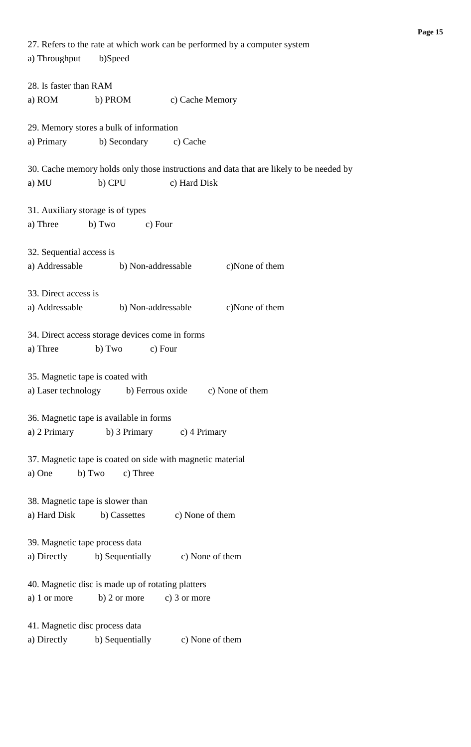| 27. Refers to the rate at which work can be performed by a computer system              |  |  |  |
|-----------------------------------------------------------------------------------------|--|--|--|
| a) Throughput<br>b)Speed                                                                |  |  |  |
| 28. Is faster than RAM                                                                  |  |  |  |
| a) ROM<br>b) PROM<br>c) Cache Memory                                                    |  |  |  |
|                                                                                         |  |  |  |
| 29. Memory stores a bulk of information                                                 |  |  |  |
| a) Primary<br>b) Secondary<br>c) Cache                                                  |  |  |  |
|                                                                                         |  |  |  |
| 30. Cache memory holds only those instructions and data that are likely to be needed by |  |  |  |
| c) Hard Disk<br>b) CPU<br>a) MU                                                         |  |  |  |
|                                                                                         |  |  |  |
| 31. Auxiliary storage is of types                                                       |  |  |  |
| b) Two<br>a) Three<br>c) Four                                                           |  |  |  |
|                                                                                         |  |  |  |
| 32. Sequential access is                                                                |  |  |  |
| a) Addressable<br>c)None of them<br>b) Non-addressable                                  |  |  |  |
|                                                                                         |  |  |  |
| 33. Direct access is                                                                    |  |  |  |
| c)None of them<br>a) Addressable<br>b) Non-addressable                                  |  |  |  |
|                                                                                         |  |  |  |
| 34. Direct access storage devices come in forms                                         |  |  |  |
| a) Three<br>b) Two<br>c) Four                                                           |  |  |  |
|                                                                                         |  |  |  |
| 35. Magnetic tape is coated with                                                        |  |  |  |
| a) Laser technology<br>b) Ferrous oxide<br>c) None of them                              |  |  |  |
|                                                                                         |  |  |  |
| 36. Magnetic tape is available in forms                                                 |  |  |  |
| a) 2 Primary b) 3 Primary<br>c) 4 Primary                                               |  |  |  |
|                                                                                         |  |  |  |
| 37. Magnetic tape is coated on side with magnetic material                              |  |  |  |
| c) Three                                                                                |  |  |  |
| b) Two<br>a) One                                                                        |  |  |  |
|                                                                                         |  |  |  |
| 38. Magnetic tape is slower than                                                        |  |  |  |
| a) Hard Disk<br>b) Cassettes<br>c) None of them                                         |  |  |  |
|                                                                                         |  |  |  |
| 39. Magnetic tape process data                                                          |  |  |  |
| c) None of them<br>a) Directly<br>b) Sequentially                                       |  |  |  |
|                                                                                         |  |  |  |
| 40. Magnetic disc is made up of rotating platters                                       |  |  |  |
| $b)$ 2 or more<br>a) 1 or more<br>c) $3$ or more                                        |  |  |  |
|                                                                                         |  |  |  |
| 41. Magnetic disc process data                                                          |  |  |  |
| b) Sequentially<br>c) None of them<br>a) Directly                                       |  |  |  |
|                                                                                         |  |  |  |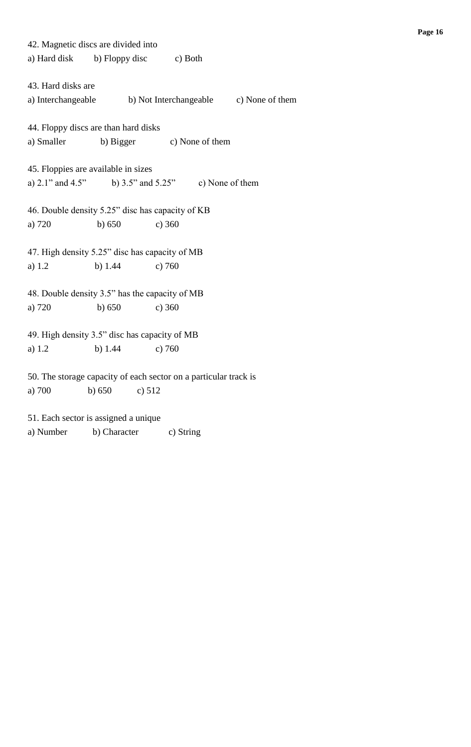42. Magnetic discs are divided into a) Hard disk b) Floppy disc c) Both 43. Hard disks are a) Interchangeable b) Not Interchangeable c) None of them 44. Floppy discs are than hard disks a) Smaller b) Bigger c) None of them 45. Floppies are available in sizes a) 2.1" and 4.5" b) 3.5" and 5.25" c) None of them 46. Double density 5.25" disc has capacity of KB a) 720 b) 650 c) 360 47. High density 5.25" disc has capacity of MB a) 1.2 b) 1.44 c) 760 48. Double density 3.5" has the capacity of MB a) 720 b) 650 c) 360 49. High density 3.5" disc has capacity of MB a) 1.2 b) 1.44 c) 760 50. The storage capacity of each sector on a particular track is a) 700 b) 650 c) 512 51. Each sector is assigned a unique

a) Number b) Character c) String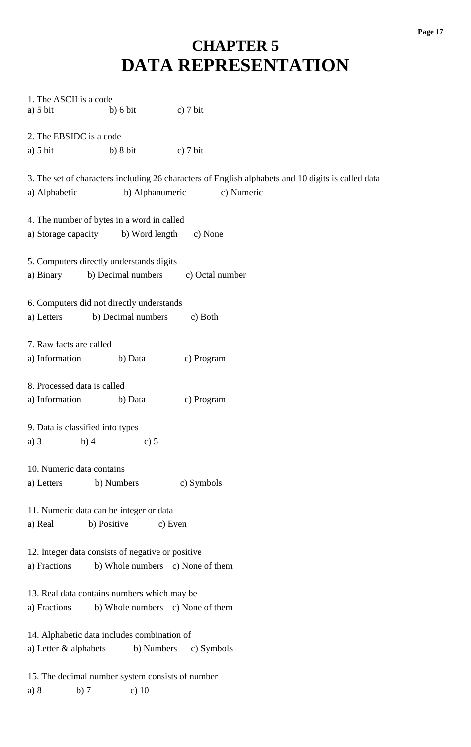### **CHAPTER 5 DATA REPRESENTATION**

| 1. The ASCII is a code                                                                             |  |  |  |
|----------------------------------------------------------------------------------------------------|--|--|--|
| $a)$ 5 bit<br>b) 6 bit<br>c) $7 \text{ bit}$                                                       |  |  |  |
|                                                                                                    |  |  |  |
| 2. The EBSIDC is a code                                                                            |  |  |  |
| $a)$ 5 bit<br>b) 8 bit<br>c) $7 \text{ bit}$                                                       |  |  |  |
|                                                                                                    |  |  |  |
| 3. The set of characters including 26 characters of English alphabets and 10 digits is called data |  |  |  |
| b) Alphanumeric<br>c) Numeric<br>a) Alphabetic                                                     |  |  |  |
|                                                                                                    |  |  |  |
| 4. The number of bytes in a word in called                                                         |  |  |  |
| a) Storage capacity b) Word length<br>c) None                                                      |  |  |  |
|                                                                                                    |  |  |  |
| 5. Computers directly understands digits                                                           |  |  |  |
| b) Decimal numbers<br>c) Octal number<br>a) Binary                                                 |  |  |  |
|                                                                                                    |  |  |  |
| 6. Computers did not directly understands                                                          |  |  |  |
| b) Decimal numbers<br>a) Letters<br>c) Both                                                        |  |  |  |
|                                                                                                    |  |  |  |
|                                                                                                    |  |  |  |
| 7. Raw facts are called                                                                            |  |  |  |
| a) Information<br>b) Data<br>c) Program                                                            |  |  |  |
|                                                                                                    |  |  |  |
| 8. Processed data is called                                                                        |  |  |  |
| a) Information<br>b) Data<br>c) Program                                                            |  |  |  |
|                                                                                                    |  |  |  |
| 9. Data is classified into types                                                                   |  |  |  |
| $a)$ 3<br>b)4<br>c) 5                                                                              |  |  |  |
|                                                                                                    |  |  |  |
| 10. Numeric data contains                                                                          |  |  |  |
| b) Numbers<br>c) Symbols<br>a) Letters                                                             |  |  |  |
|                                                                                                    |  |  |  |
| 11. Numeric data can be integer or data                                                            |  |  |  |
| b) Positive<br>a) Real<br>c) Even                                                                  |  |  |  |
|                                                                                                    |  |  |  |
| 12. Integer data consists of negative or positive                                                  |  |  |  |
| a) Fractions<br>b) Whole numbers c) None of them                                                   |  |  |  |
|                                                                                                    |  |  |  |
| 13. Real data contains numbers which may be                                                        |  |  |  |
| a) Fractions<br>b) Whole numbers c) None of them                                                   |  |  |  |
|                                                                                                    |  |  |  |
|                                                                                                    |  |  |  |
| 14. Alphabetic data includes combination of                                                        |  |  |  |
| a) Letter & alphabets<br>b) Numbers<br>c) Symbols                                                  |  |  |  |
|                                                                                                    |  |  |  |
| 15. The decimal number system consists of number                                                   |  |  |  |
| a) 8<br>b)7<br>c) $10$                                                                             |  |  |  |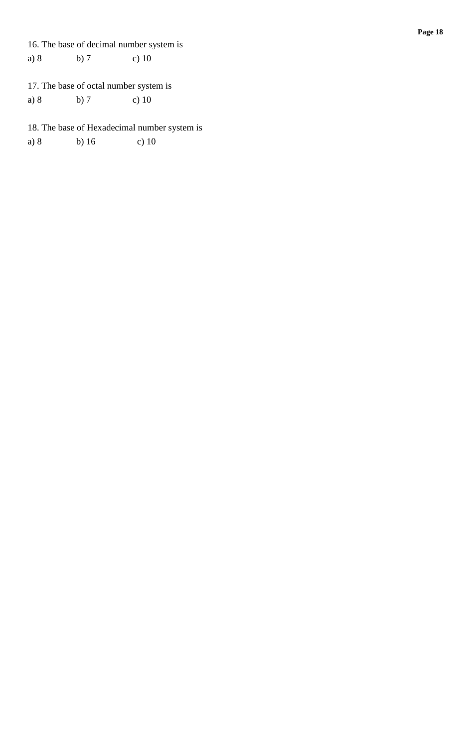16. The base of decimal number system is a) 8 b) 7 c) 10

#### 17. The base of octal number system is a) 8 b) 7 c) 10

18. The base of Hexadecimal number system is

a) 8 b) 16 c) 10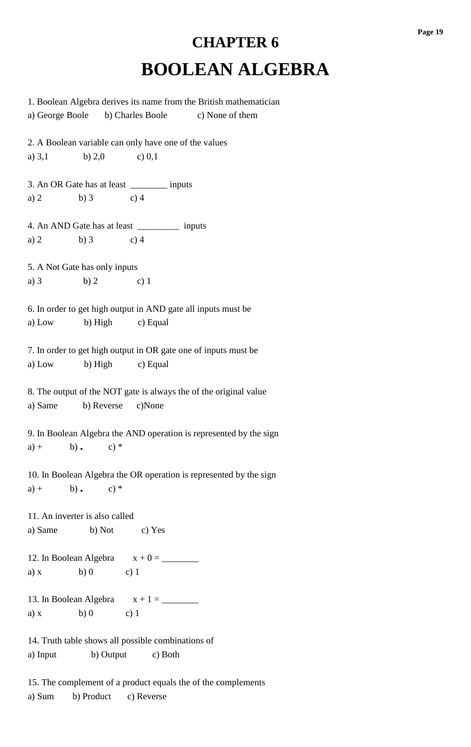## **CHAPTER 6 BOOLEAN ALGEBRA**

1. Boolean Algebra derives its name from the British mathematician a) George Boole b) Charles Boole c) None of them 2. A Boolean variable can only have one of the values a)  $3,1$  b)  $2,0$  c)  $0,1$ 3. An OR Gate has at least \_\_\_\_\_\_\_\_ inputs a) 2 b) 3 c) 4 4. An AND Gate has at least \_\_\_\_\_\_\_\_\_ inputs a) 2 b) 3 c) 4 5. A Not Gate has only inputs a) 3 b) 2 c) 1 6. In order to get high output in AND gate all inputs must be a) Low b) High c) Equal 7. In order to get high output in OR gate one of inputs must be a) Low b) High c) Equal 8. The output of the NOT gate is always the of the original value a) Same b) Reverse c)None 9. In Boolean Algebra the AND operation is represented by the sign a) + b) **.** c) \* 10. In Boolean Algebra the OR operation is represented by the sign a) + b) **.** c) \* 11. An inverter is also called a) Same b) Not c) Yes 12. In Boolean Algebra x + 0 = \_\_\_\_\_\_\_\_ a) x b) 0 c) 1 13. In Boolean Algebra  $x + 1 = \underline{\hspace{2cm}}$ a) x b) 0 c) 1 14. Truth table shows all possible combinations of a) Input b) Output c) Both 15. The complement of a product equals the of the complements

a) Sum b) Product c) Reverse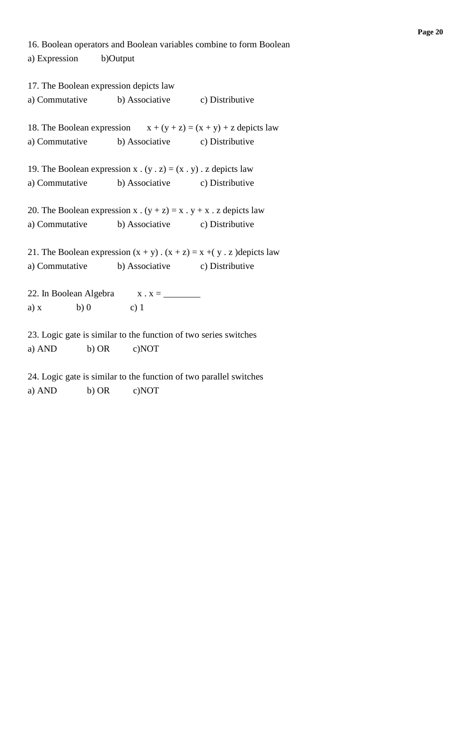16. Boolean operators and Boolean variables combine to form Boolean a) Expression b)Output

17. The Boolean expression depicts law a) Commutative b) Associative c) Distributive 18. The Boolean expression  $x + (y + z) = (x + y) + z$  depicts law a) Commutative b) Associative c) Distributive 19. The Boolean expression  $x \cdot (y \cdot z) = (x \cdot y) \cdot z$  depicts law a) Commutative b) Associative c) Distributive 20. The Boolean expression x .  $(y + z) = x$  .  $y + x$  . z depicts law a) Commutative b) Associative c) Distributive 21. The Boolean expression  $(x + y)$ .  $(x + z) = x + (y \cdot z)$  depicts law a) Commutative b) Associative c) Distributive 22. In Boolean Algebra x . x = \_\_\_\_\_\_\_\_ a) x b) 0 c) 1 23. Logic gate is similar to the function of two series switches a) AND b) OR c)NOT 24. Logic gate is similar to the function of two parallel switches

a) AND b) OR c)NOT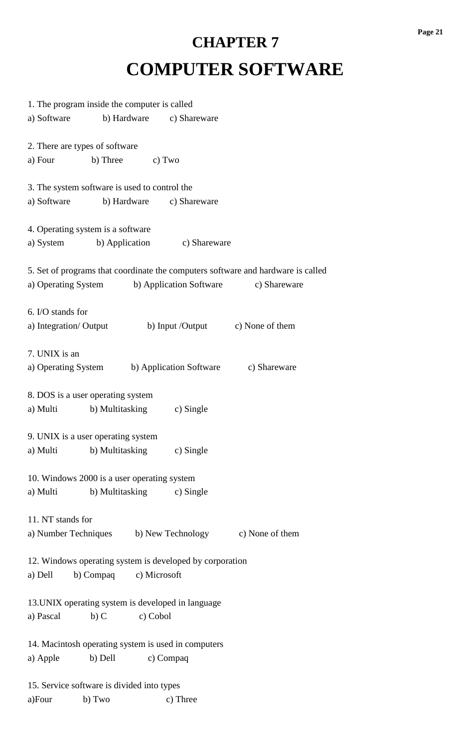# **CHAPTER 7 COMPUTER SOFTWARE**

| 1. The program inside the computer is called             |                           |           |                         |                                                                                  |
|----------------------------------------------------------|---------------------------|-----------|-------------------------|----------------------------------------------------------------------------------|
| a) Software                                              | b) Hardware               |           | c) Shareware            |                                                                                  |
|                                                          |                           |           |                         |                                                                                  |
| 2. There are types of software                           |                           |           |                         |                                                                                  |
| a) Four                                                  | b) Three                  | c) Two    |                         |                                                                                  |
|                                                          |                           |           |                         |                                                                                  |
| 3. The system software is used to control the            |                           |           |                         |                                                                                  |
| a) Software                                              | b) Hardware               |           | c) Shareware            |                                                                                  |
|                                                          |                           |           |                         |                                                                                  |
| 4. Operating system is a software                        |                           |           |                         |                                                                                  |
| a) System b) Application                                 |                           |           | c) Shareware            |                                                                                  |
|                                                          |                           |           |                         |                                                                                  |
|                                                          |                           |           |                         | 5. Set of programs that coordinate the computers software and hardware is called |
| a) Operating System b) Application Software              |                           |           |                         | c) Shareware                                                                     |
|                                                          |                           |           |                         |                                                                                  |
| 6. I/O stands for                                        |                           |           |                         |                                                                                  |
| a) Integration/Output                                    |                           |           |                         | b) Input /Output c) None of them                                                 |
|                                                          |                           |           |                         |                                                                                  |
| 7. UNIX is an                                            |                           |           |                         |                                                                                  |
| a) Operating System                                      |                           |           | b) Application Software | c) Shareware                                                                     |
|                                                          |                           |           |                         |                                                                                  |
| 8. DOS is a user operating system                        |                           |           |                         |                                                                                  |
| a) Multi                                                 | b) Multitasking           |           | c) Single               |                                                                                  |
|                                                          |                           |           |                         |                                                                                  |
| 9. UNIX is a user operating system                       |                           |           |                         |                                                                                  |
| a) Multi b) Multitasking c) Single                       |                           |           |                         |                                                                                  |
|                                                          |                           |           |                         |                                                                                  |
| 10. Windows 2000 is a user operating system              |                           |           |                         |                                                                                  |
| a) Multi                                                 | b) Multitasking c) Single |           |                         |                                                                                  |
|                                                          |                           |           |                         |                                                                                  |
| 11. NT stands for                                        |                           |           |                         |                                                                                  |
|                                                          |                           |           |                         | a) Number Techniques b) New Technology c) None of them                           |
|                                                          |                           |           |                         |                                                                                  |
| 12. Windows operating system is developed by corporation |                           |           |                         |                                                                                  |
| a) Dell                                                  | b) Compaq c) Microsoft    |           |                         |                                                                                  |
|                                                          |                           |           |                         |                                                                                  |
| 13. UNIX operating system is developed in language       |                           |           |                         |                                                                                  |
| a) Pascal                                                | $b)$ C                    | c) Cobol  |                         |                                                                                  |
|                                                          |                           |           |                         |                                                                                  |
| 14. Macintosh operating system is used in computers      |                           |           |                         |                                                                                  |
| a) Apple                                                 | b) Dell                   | c) Compaq |                         |                                                                                  |
|                                                          |                           |           |                         |                                                                                  |
| 15. Service software is divided into types               |                           |           |                         |                                                                                  |
| a)Four                                                   | b) Two                    |           | c) Three                |                                                                                  |